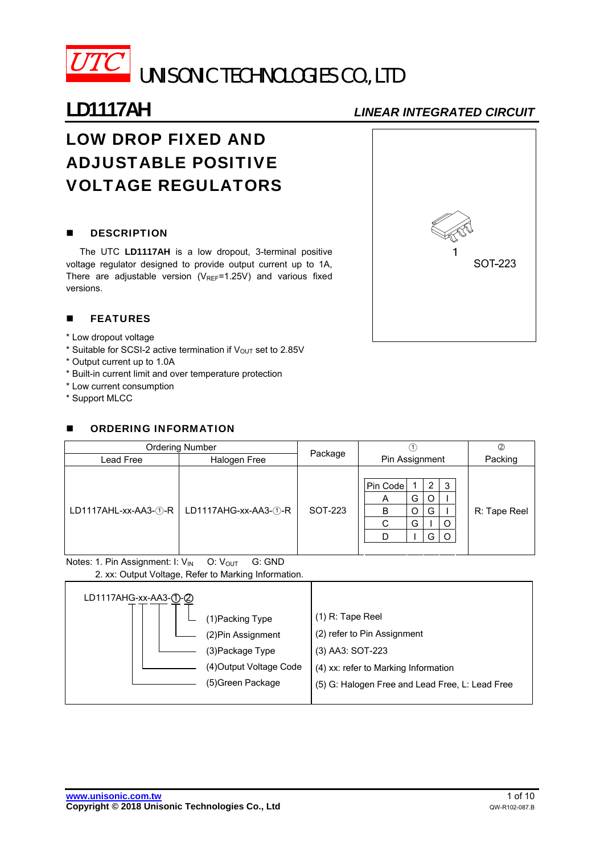

# **LD1117AH** *LINEAR INTEGRATED CIRCUIT*

# LOW DROP FIXED AND ADJUSTABLE POSITIVE VOLTAGE REGULATORS

## **DESCRIPTION**

The UTC **LD1117AH** is a low dropout, 3-terminal positive voltage regulator designed to provide output current up to 1A, There are adjustable version ( $V_{REF}$ =1.25V) and various fixed versions.

# **FEATURES**

- \* Low dropout voltage
- \* Suitable for SCSI-2 active termination if  $V_{\text{OUT}}$  set to 2.85V
- \* Output current up to 1.0A
- \* Built-in current limit and over temperature protection
- \* Low current consumption
- \* Support MLCC

## **E** ORDERING INFORMATION

| <b>Ordering Number</b>        |                      |                |             |   |              | Ø       |  |
|-------------------------------|----------------------|----------------|-------------|---|--------------|---------|--|
| Lead Free                     | Package              | Pin Assignment |             |   |              | Packing |  |
|                               |                      |                |             |   |              |         |  |
| $LD1117AHL$ -xx-AA3- $(1)$ -R |                      |                | Pin Code    |   | 2            | 3       |  |
|                               |                      |                | A           | G | O            |         |  |
|                               | LD1117AHG-xx-AA3-①-R | SOT-223        | G<br>B<br>O |   | R: Tape Reel |         |  |
|                               |                      |                | $\sim$      | G |              | O       |  |
|                               |                      |                |             |   | G            |         |  |
|                               |                      |                |             |   |              |         |  |

Notes: 1. Pin Assignment: I:  $V_{IN}$  O:  $V_{OUT}$  G: GND

2. xx: Output Voltage, Refer to Marking Information.

| LD1117AHG-xx-AA3-①-② | (1) Packing Type                                                                     | $(1)$ R: Tape Reel                                                                                                                         |
|----------------------|--------------------------------------------------------------------------------------|--------------------------------------------------------------------------------------------------------------------------------------------|
|                      | (2) Pin Assignment<br>(3)Package Type<br>(4) Output Voltage Code<br>(5)Green Package | (2) refer to Pin Assignment<br>(3) AA3: SOT-223<br>(4) xx: refer to Marking Information<br>(5) G: Halogen Free and Lead Free, L: Lead Free |
|                      |                                                                                      |                                                                                                                                            |

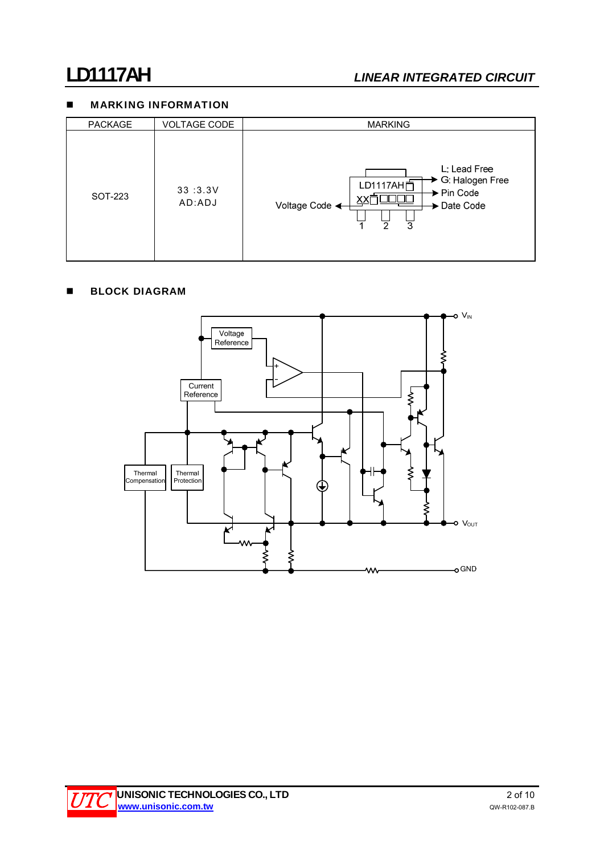# **MARKING INFORMATION**

| <b>PACKAGE</b> | <b>VOLTAGE CODE</b> | <b>MARKING</b>                                                                                                                           |
|----------------|---------------------|------------------------------------------------------------------------------------------------------------------------------------------|
| SOT-223        | 33:3.3V<br>AD:ADJ   | L: Lead Free<br>→ G: Halogen Free<br>LD1117AH户<br>$\blacktriangleright$ Pin Code<br>Voltage Code <<br>→ Date Code<br>$\mathfrak{p}$<br>3 |

# **BLOCK DIAGRAM**

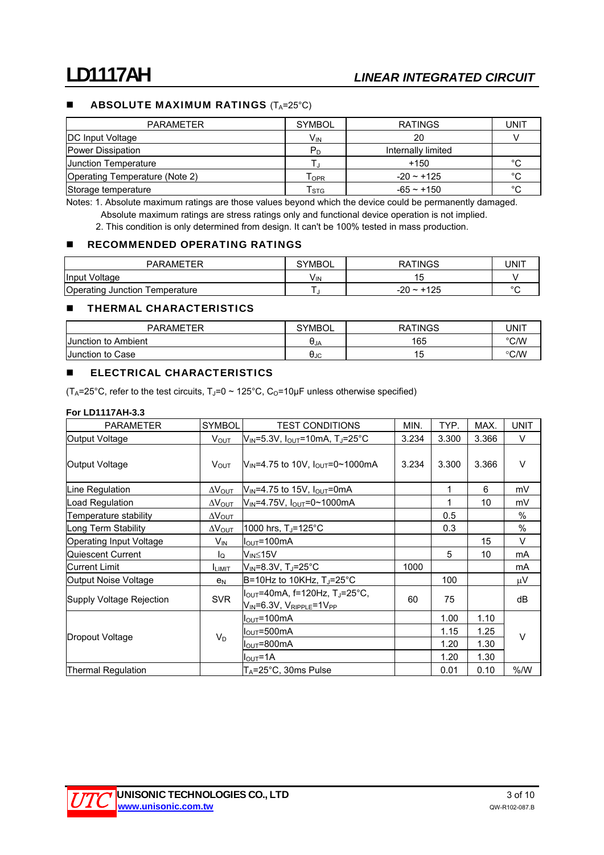## **ABSOLUTE MAXIMUM RATINGS**  $(T_A=25^{\circ}C)$

| <b>PARAMETER</b>               | <b>SYMBOL</b>             | <b>RATINGS</b>     | UNIT   |
|--------------------------------|---------------------------|--------------------|--------|
| <b>DC Input Voltage</b>        | V <sub>IN</sub>           | 20                 |        |
| Power Dissipation              | P <sub>D</sub>            | Internally limited |        |
| <b>Junction Temperature</b>    |                           | +150               | °C     |
| Operating Temperature (Note 2) | OPR                       | $-20 - 125$        | °C     |
| Storage temperature            | $\mathsf{T}_{\text{STG}}$ | $-65 - +150$       | $\sim$ |

Notes: 1. Absolute maximum ratings are those values beyond which the device could be permanently damaged. Absolute maximum ratings are stress ratings only and functional device operation is not implied.

2. This condition is only determined from design. It can't be 100% tested in mass production.

### **RECOMMENDED OPERATING RATINGS**

| <b>PARAMETER</b>                  | <b>SYMBOL</b>         | <b>RATINGS</b>       | UNIT   |
|-----------------------------------|-----------------------|----------------------|--------|
| Input Voltage                     | <b>V<sub>IN</sub></b> |                      |        |
| Operating Junction<br>Temperature |                       | $+125$<br>-20 $\sim$ | $\sim$ |

### **THERMAL CHARACTERISTICS**

| <b>PARAMETER</b>        | <b>SYMBOL</b> | <b>TINGS</b><br>RA | UNIT          |
|-------------------------|---------------|--------------------|---------------|
| Junction to Ambient     | UJA           | 165                | °C/W          |
| <b>Junction to Case</b> | UJC           | l u                | $\degree$ C/W |

### **ELECTRICAL CHARACTERISTICS**

(T<sub>A</sub>=25°C, refer to the test circuits, T<sub>J</sub>=0 ~ 125°C, C<sub>O</sub>=10µF unless otherwise specified)

### **For LD1117AH-3.3**

| <b>PARAMETER</b>         | <b>SYMBOL</b>            | <b>TEST CONDITIONS</b>                                                                                    | MIN.  | TYP.  | MAX.  | <b>UNIT</b> |
|--------------------------|--------------------------|-----------------------------------------------------------------------------------------------------------|-------|-------|-------|-------------|
| Output Voltage           | <b>V</b> <sub>OUT</sub>  | $V_{IN}$ =5.3V, $I_{OUT}$ =10mA, TJ=25°C                                                                  | 3.234 | 3.300 | 3.366 | V           |
| Output Voltage           | V <sub>OUT</sub>         | $V_{IN} = 4.75$ to 10V, $I_{OUT} = 0 \sim 1000$ mA                                                        | 3.234 | 3.300 | 3.366 | $\vee$      |
| Line Regulation          | $\Delta{\mathsf{V}}$ out | $V_{\text{IN}}$ =4.75 to 15V, $I_{\text{OUT}}$ =0mA                                                       |       | 1     | 6     | mV          |
| Load Regulation          | $\Delta V_{\rm OUT}$     | V <sub>IN</sub> =4.75V, I <sub>OUT</sub> =0~1000mA                                                        |       | 1     | 10    | mV          |
| Temperature stability    | $\Delta V_{\text{OUT}}$  |                                                                                                           |       | 0.5   |       | $\%$        |
| Long Term Stability      | $\Delta V_{\text{OUT}}$  | 1000 hrs, $T_J = 125^{\circ}C$                                                                            |       | 0.3   |       | %           |
| Operating Input Voltage  | $V_{IN}$                 | $I_{\text{OUT}} = 100 \text{mA}$                                                                          |       |       | 15    | $\vee$      |
| Quiescent Current        | lo                       | V <sub>IN</sub> ≤15V                                                                                      |       | 5     | 10    | mA          |
| Current Limit            | <b>I</b> LIMIT           | V <sub>IN</sub> =8.3V, T」=25°C                                                                            | 1000  |       |       | mA          |
| Output Noise Voltage     | e <sub>N</sub>           | B=10Hz to 10KHz, $T_J = 25^\circ C$                                                                       |       | 100   |       | $\mu$ V     |
| Supply Voltage Rejection | <b>SVR</b>               | $I_{OUT}$ =40mA, f=120Hz, TJ=25°C,<br>$V_{\mathsf{IN}}$ =6.3V, $V_{\mathsf{RIPPLE}}$ =1V $_{\mathsf{PP}}$ | 60    | 75    |       | dB          |
|                          |                          | $I_{\text{OUT}}$ =100mA                                                                                   |       | 1.00  | 1.10  |             |
| Dropout Voltage          | $V_D$                    | $I_{\text{OUT}} = 500 \text{mA}$                                                                          | 1.15  |       | 1.25  | $\vee$      |
|                          |                          | $I_{\text{OUT}} = 800 \text{mA}$                                                                          |       | 1.20  | 1.30  |             |
|                          |                          | $IOUT=1A$                                                                                                 |       | 1.20  | 1.30  |             |
| Thermal Regulation       |                          | $T_A = 25^\circ \text{C}$ , 30ms Pulse                                                                    |       | 0.01  | 0.10  | % /W        |

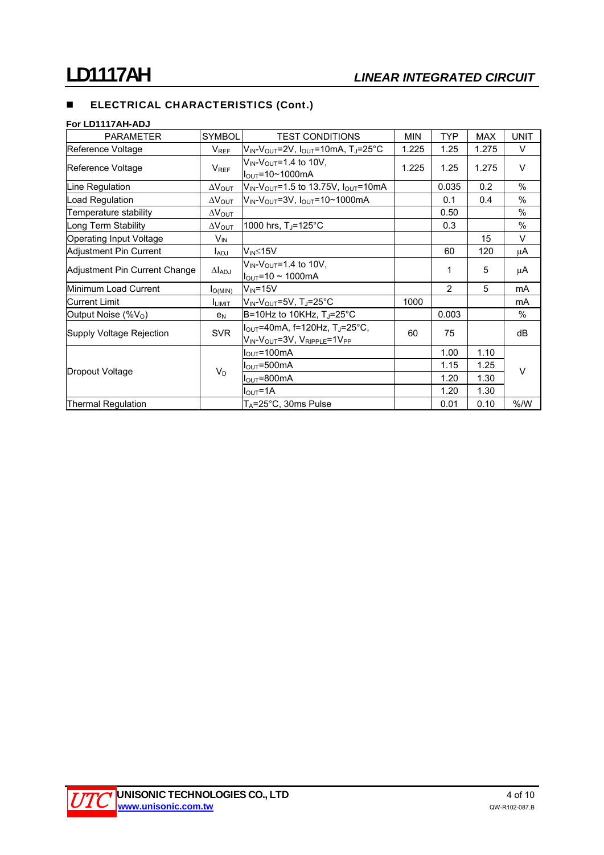# **ELECTRICAL CHARACTERISTICS (Cont.)**

### **For LD1117AH-ADJ**

| <b>PARAMETER</b>               | <b>SYMBOL</b>           | <b>TEST CONDITIONS</b>                                                                                | <b>MIN</b> | <b>TYP</b>     | <b>MAX</b> | <b>UNIT</b> |
|--------------------------------|-------------------------|-------------------------------------------------------------------------------------------------------|------------|----------------|------------|-------------|
| Reference Voltage              | <b>V</b> <sub>REF</sub> | V <sub>IN</sub> -V <sub>OUT</sub> =2V, I <sub>OUT</sub> =10mA, TJ=25°C                                | 1.225      | 1.25           | 1.275      | V           |
| Reference Voltage              | $V_{REF}$               | $V_{IN}$ - $V_{OUT}$ =1.4 to 10V,<br>$I_{\text{OUT}} = 10 - 1000 \text{mA}$                           | 1.225      | 1.25           | 1.275      | $\vee$      |
| Line Regulation                | $\Delta V_{\text{OUT}}$ | $V_{IN}$ - $V_{OUT}$ =1.5 to 13.75V, $I_{OUT}$ =10mA                                                  |            | 0.035          | 0.2        | $\%$        |
| Load Regulation                | $\Delta V_{\text{OUT}}$ | $V_{IN}$ - $V_{OUT}$ =3V, $I_{OUT}$ =10~1000mA                                                        |            | 0.1            | 0.4        | %           |
| Temperature stability          | $\Delta V_{\text{OUT}}$ |                                                                                                       |            | 0.50           |            | $\%$        |
| Long Term Stability            | $\Delta V_{\text{OUT}}$ | 1000 hrs, T <sub>J</sub> =125°C                                                                       |            | 0.3            |            | %           |
| <b>Operating Input Voltage</b> | $V_{IN}$                |                                                                                                       |            |                | 15         | $\vee$      |
| Adjustment Pin Current         | l <sub>ADJ</sub>        | V <sub>IN</sub> ≤15V                                                                                  |            | 60             | 120        | μA          |
| Adjustment Pin Current Change  | $\Delta I_{ADJ}$        | $V_{IN}$ - $V_{OUT}$ =1.4 to 10V,<br>$I_{\text{OUT}}$ =10 ~ 1000mA                                    |            | 1              | 5          | μA          |
| Minimum Load Current           | $I_{O(MIN)}$            | $V_{IN} = 15V$                                                                                        |            | $\overline{2}$ | 5          | mA          |
| lCurrent Limit                 | <b>ILIMIT</b>           | VIN-VOUT=5V, TJ=25°C                                                                                  | 1000       |                |            | mA          |
| Output Noise $(\%V_{\odot})$   | e <sub>N</sub>          | B=10Hz to 10KHz, TJ=25°C                                                                              |            | 0.003          |            | %           |
| Supply Voltage Rejection       | <b>SVR</b>              | $I_{OUT}$ =40mA, f=120Hz, T <sub>J</sub> =25°C,<br>$V_{IN}$ - $V_{OUT}$ =3V, $V_{RIPPLE}$ =1 $V_{PP}$ | 60         | 75             |            | dB          |
| Dropout Voltage                | $V_D$                   | $I_{\text{OUT}} = 100 \text{mA}$                                                                      |            | 1.00           | 1.10       |             |
|                                |                         | $I_{\text{OUT}} = 500 \text{mA}$                                                                      |            | 1.15           | 1.25       | $\vee$      |
|                                |                         | $I_{\text{OUT}}$ =800mA                                                                               |            | 1.20           | 1.30       |             |
|                                |                         | $I_{\text{OUT}} = 1A$                                                                                 |            | 1.20           | 1.30       |             |
| <b>Thermal Regulation</b>      |                         | $T_A = 25^\circ \text{C}$ , 30ms Pulse                                                                |            | 0.01           | 0.10       | % /W        |

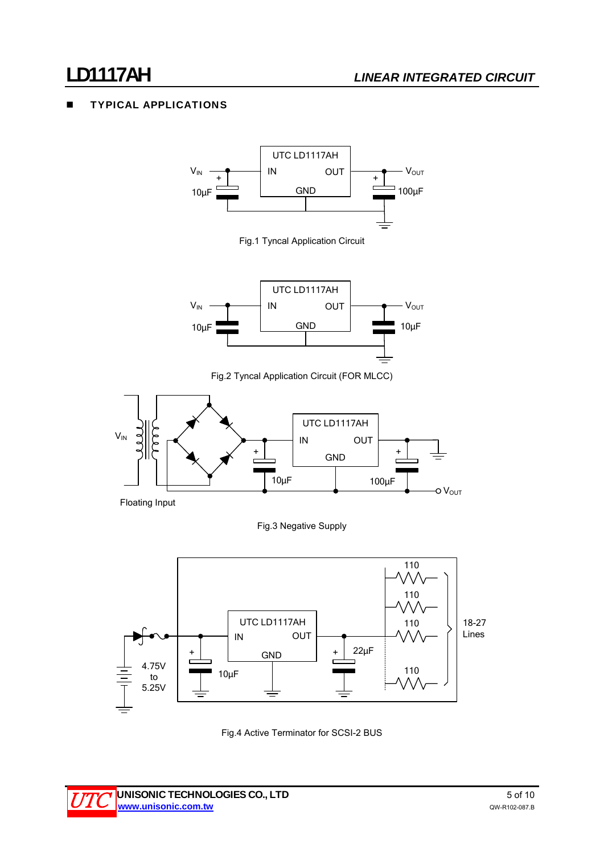# **LD1117AH** *LINEAR INTEGRATED CIRCUIT*

# TYPICAL APPLICATIONS



Fig.4 Active Terminator for SCSI-2 BUS

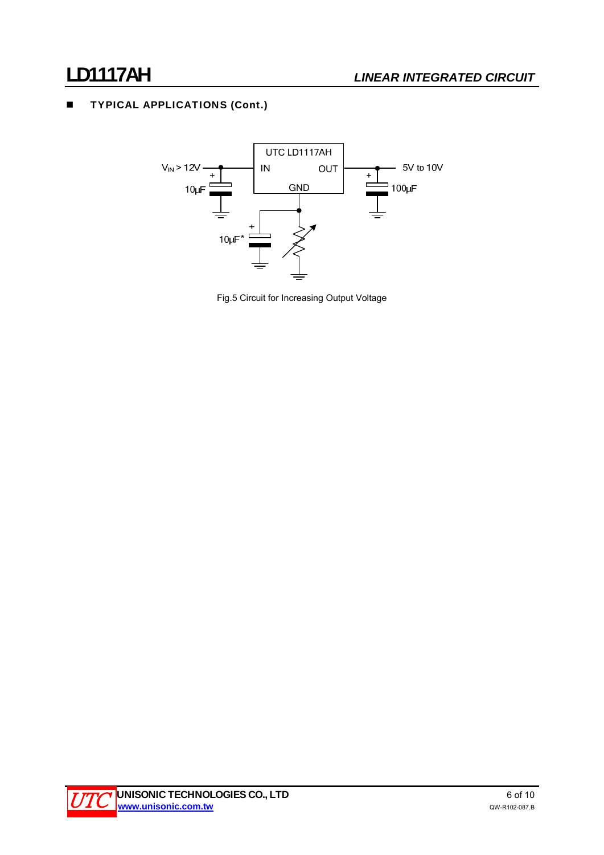# **TYPICAL APPLICATIONS (Cont.)**



Fig.5 Circuit for Increasing Output Voltage

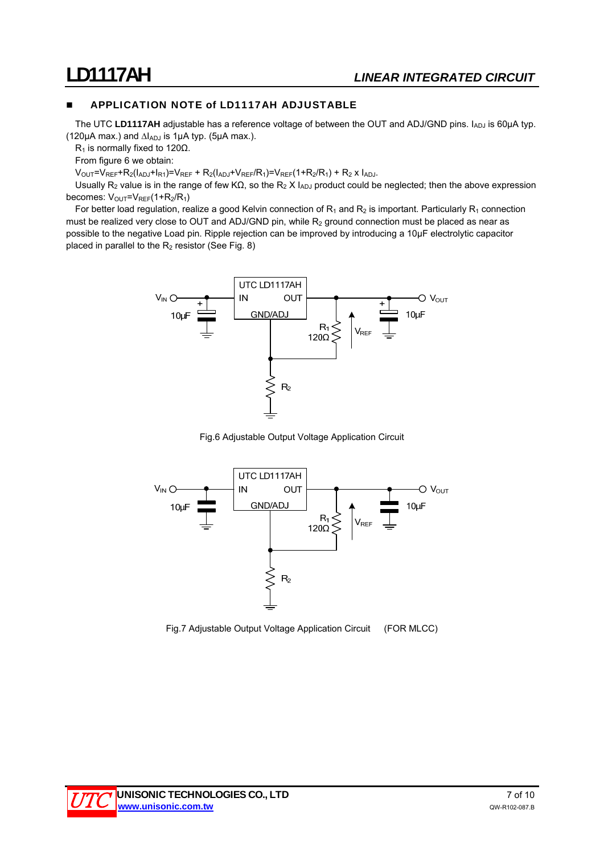## **APPLICATION NOTE of LD1117AH ADJUSTABLE**

The UTC LD1117AH adjustable has a reference voltage of between the OUT and ADJ/GND pins. I<sub>ADJ</sub> is 60µA typ. (120 $\mu$ A max.) and  $\Delta I_{ADJ}$  is 1 $\mu$ A typ. (5 $\mu$ A max.).

R<sub>1</sub> is normally fixed to 120Ω.

From figure 6 we obtain:

 $V_{\text{OUT}}=V_{\text{REF}}+R_2(I_{\text{ADJ}}+I_{\text{R1}})=V_{\text{REF}}+R_2(I_{\text{ADJ}}+V_{\text{REF}}/R_1)=V_{\text{REF}}(1+R_2/R_1)+R_2 \times I_{\text{ADJ}}.$ 

Usually R<sub>2</sub> value is in the range of few KΩ, so the R<sub>2</sub> X I<sub>ADJ</sub> product could be neglected; then the above expression becomes:  $V_{\text{OUT}}=V_{\text{REF}}(1+R_{2}/R_{1})$ 

For better load regulation, realize a good Kelvin connection of  $R_1$  and  $R_2$  is important. Particularly  $R_1$  connection must be realized very close to OUT and ADJ/GND pin, while  $R_2$  ground connection must be placed as near as possible to the negative Load pin. Ripple rejection can be improved by introducing a 10μF electrolytic capacitor placed in parallel to the  $R_2$  resistor (See Fig. 8)



Fig.6 Adjustable Output Voltage Application Circuit



Fig.7 Adjustable Output Voltage Application Circuit (FOR MLCC)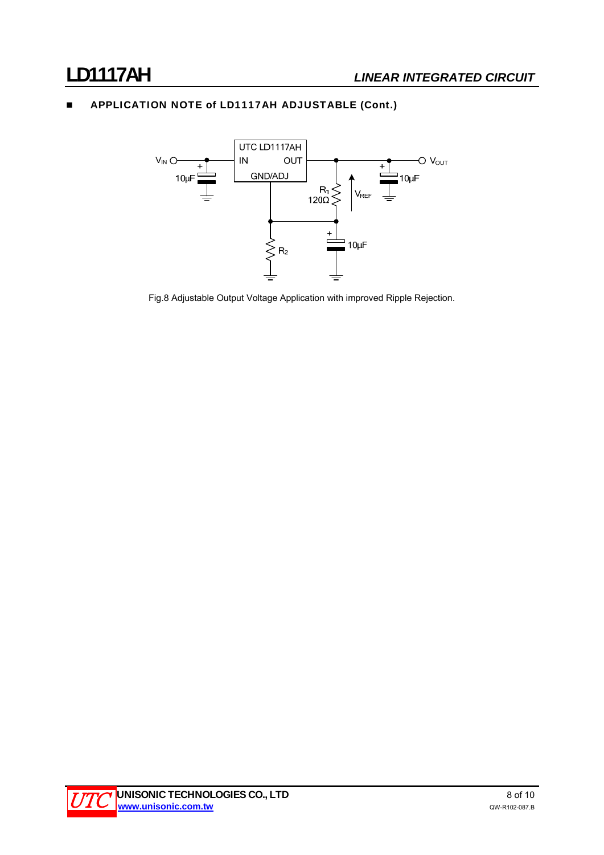# **APPLICATION NOTE of LD1117AH ADJUSTABLE (Cont.)**



Fig.8 Adjustable Output Voltage Application with improved Ripple Rejection.

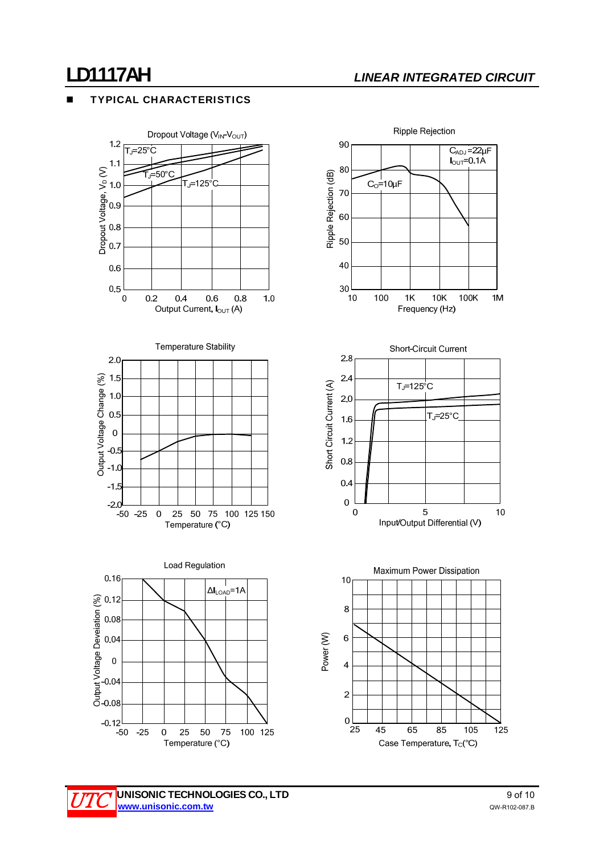# **LD1117AH** *LINEAR INTEGRATED CIRCUIT*

### TYPICAL CHARACTERISTICS